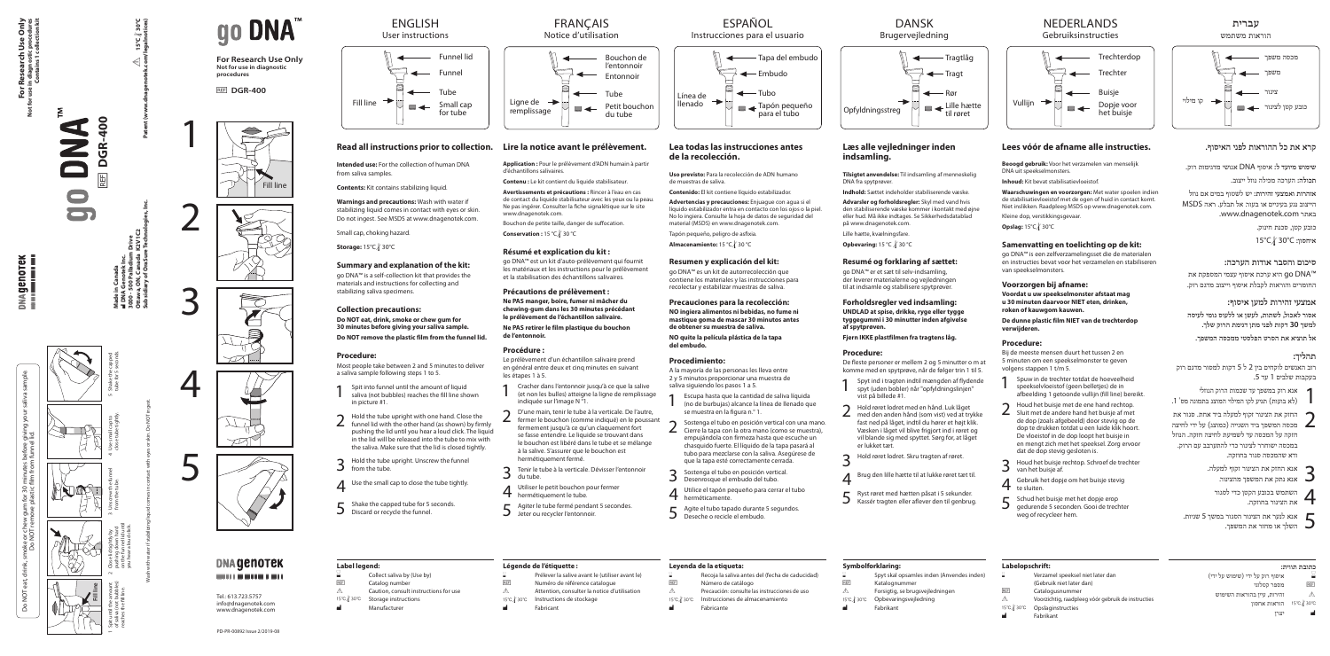# **Lees vóór de afname alle instructies.**

**Beoogd gebruik:** Voor het verzamelen van menselijk DNA uit speekselmonsters.

**Inhoud:** Kit bevat stabilisatievloeistof.

**Waarschuwingen en voorzorgen:** Met water spoelen indien de stabilisatievloeistof met de ogen of huid in contact komt. Niet inslikken. Raadpleeg MSDS op www.dnagenotek.com. Kleine dop, verstikkingsgevaar.

**Opslag:** 15°C/ 30°C

# **Samenvatting en toelichting op de kit:**

go DNA™ is een zelfverzamelingsset die de materialen en instructies bevat voor het verzamelen en stabiliseren van speekselmonsters.

Spuw in de trechter totdat de hoeveelheid speekselvloeistof (geen belletjes) de in afbeelding 1 getoonde vullijn (fill line) bereikt.

# **Voorzorgen bij afname:**

**Voordat u uw speekselmonster afstaat mag u 30 minuten daarvoor NIET eten, drinken, roken of kauwgom kauwen.**

**De dunne plastic film NIET van de trechterdop verwijderen.**

# **Procedure:**

- Houd het buisje met de ene hand rechtop. Sluit met de andere hand het buisje af met de dop (zoals afgebeeld) door stevig op de dop te drukken totdat u een luide klik hoort. De vloeistof in de dop loopt het buisje in en mengt zich met het speeksel. Zorg ervoor dat de dop stevig gesloten is.
- 3 Houd het buisje rechtop. Schroef de trechter van het buisje af.
- Gebruik het dopje om het buisje stevig te sluiten.
- 5 Schud het buisje met het dopje erop gedurende 5 seconden. Gooi de trechter weg of recycleer hem.

# **Labelopschrift:** Verzamel speeksel niet later dan

(Gebruik niet later dan) REF Catalogusnummer  $\triangle$  Voorzichtig, raadpleeg vóór gebruik de instructies<br>15°C / 30°C Dpslaginstructies 15°C / 30°C Opslaginstructies Fabrikant

Bij de meeste mensen duurt het tussen 2 en 5 minuten om een speekselmonster te geven volgens stappen 1 t/m 5.

תיא ערכת איסוף עצמי המספקת את go DNA החומרים והוראות לקבלת איסוף וייצוב מדגם רוק.

- אנא רוק במשפך עד שכמות הרוק הנוזלי 1 )לא בועות( תגיע לקו המילוי המוצג בתמונה מס' .1
- החזק את הצינור זקוף למעלה ביד אחת. סגור את מכסה המשפר ביד השנייה (כמוצג) על ידי לחיצה  $\blacksquare$ חזקה על המכסה עד לשמיעת לחיצה חזקה. הנוזל במכסה ישוחרר לצינור כדי להתערבב עם הרוק.
	- אנא החזק את הצינור זקוף למעלה.<br>3 אנא נתק את המשפך מהצינור. אנא נתק את המשפר מהצינור.  $\Box$

# NEDERLANDS Gebruiksinstructies



# **קרא את כל ההוראות לפני האיסוף.**

**שימוש מיועד ל:** איסוף DNA אנושי מדגימות רוק.

**תכולה:** הערכה מכילה נוזל ייצוב.

**אזהרות ואמצעי זהירות:** יש לשטוף במים אם נוזל הייצוב נגע בעיניים או בעור. אל תבלע. ראה MSDS .www.dnagenotek.com באתר

כובע קטן, סכנת חינוק.

15°Cl30°C **:איחסון**

# **סיכום והסבר אודות הערכה:**

# **אמצעי זהירות למען איסוף:**

**אסור לאכול, לשתות, לעשן או ללעוס גומי לעיסה למשך 30 דקות לפני מתן דגימת הרוק שלך.**

# **DANSK** Brugervejledning

**אל תוציא את הסרט הפלסטי ממכסה המשפך.**

# **תהליך:**

רוב האנשים לוקחים בין 2 ל 5 דקות למסור מדגם רוק בעקבות שלבים 1 עד .5

Tapón pequeño, peligro de asfixia. **Almacenamiento:** 15 °C / 30 °C

ודא שהמכסה סגור בחוזקה.

- השתמש בכובע הקטן כדי לסגור 4 את הצינור בחוזקה.
- אנא לנער את הצינור הסגור במשך <sup>5</sup> שניות. 5 השלך או מחזר את המשפך.

| inden (Anvendes inden) |  |
|------------------------|--|
| ejledningen            |  |

| כתובת תווית: |  |
|--------------|--|
|              |  |

|            | איסוף רוק על ידי (שימוש על ידי) |
|------------|---------------------------------|
| <b>REF</b> | מספר קטלוגי                     |
| Ж          | זהירות, עיין בהוראות השימוש     |
| 15℃ 30℃    | הוראות אחסון                    |
|            | יצרו                            |

הוראות משתמש **עברית**



# **Læs alle vejledninger inden**

Sostenga el tubo en posición vertical con una mano. Cierre la tapa con la otra mano (como se muestra), empujándola con firmeza hasta que escuche un chasquido fuerte. El líquido de la tapa pasará al tubo para mezclarse con la saliva. Asegúrese de que la tapa esté correctamente cerrada. 3 Sostenga el tubo en posición vertical. Desenrosque el embudo del tubo.

**indsamling.**

**Tilsigtet anvendelse:** Til indsamling af menneskelig

DNA fra spytprøver.

**Indhold:** Sættet indeholder stabiliserende væske.

Y Precaución: consulte las instrucciones de uso 15℃ / 30℃ Instrucciones de almacenamiento Fabricante

Recoja la saliva antes del (fecha de caducidad)

**Advarsler og forholdsregler:** Skyl med vand hvis den stabiliserende væske kommer i kontakt med øjne eller hud. Må ikke indtages. Se Sikkerhedsdatablad

på www.dnagenotek.com. Lille hætte, kvælningsfare.

# **Resumé og forklaring af sættet:**

Bouchon de petite taille, danger de suffocation. **Conservation :** 15 °C √ 30 °C

> go DNA™ er et sæt til selv-indsamling, der leverer materialerne og vejledningen til at indsamle og stabilisere spytprøver.

**Forholdsregler ved indsamling: UNDLAD at spise, drikke, ryge eller tygge tyggegummi i 30 minutter inden afgivelse af spytprøven.**

**Fjern IKKE plastfilmen fra tragtens låg.**

# **Procedure:**

De fleste personer er mellem 2 og 5 minutter o m at komme med en spytprøve, når de følger trin 1 til 5.

- 4 Utiliser le petit bouchon pour fermer
- 
- Agiter le tube fermé pendant 5 secondes.

# **Symbolforklaring:**

- Spyt skal opsamles REF Katalognummer  $\triangle$  Forsigtig, se brugsv 15℃ / 30℃ Opbevaringsvejledning
	- Fabrikant

Opfyldningsstreg

一



# **Lea todas las instrucciones antes de la recolección.**

**Uso previsto:** Para la recolección de ADN humano de muestras de saliva.

**Contenido:** El kit contiene líquido estabilizador.

**Advertencias y precauciones:** Enjuague con agua si el líquido estabilizador entra en contacto con los ojos o la piel. No lo ingiera. Consulte la hoja de datos de seguridad del material (MSDS) en www.dnagenotek.com.

- 1 Spyt ind i tragten indtil mængden af flydende spyt (uden bobler) når "opfyldningslinjen" vist på billede #1.
- 2 Hold røret lodret med en hånd. Luk låget med den anden hånd (som vist) ved at trykke fast ned på låget, indtil du hører et højt klik. Væsken i låget vil blive frigjort ind i røret og vil blande sig med spyttet. Sørg for, at låget er lukket tæt.
- 3 Hold røret lodret. Skru tragten af røret.
- 4 Brug den lille hætte til at lukke røret tæt til.
- 5 Ryst røret med hætten påsat i 5 sekunder. Kassér tragten eller aflever den til genbrug. 4 Utilice el tapón pequeño para cerrar el tubo
- 5 Agite el tubo tapado durante 5 segundos. Deseche o recicle el embudo.

**For Research Use Only Not for use in diagnostic procedures Contains 1 collection kit** earch<br>gnostic<br>ains 1 c  $\overline{P}$ 

genorek<br>**Literalista** 

**SE** 

**Resumen y explicación del kit:** go DNA™ es un kit de autorrecolección que contiene los materiales y las instrucciones para recolectar y estabilizar muestras de saliva. **Precauciones para la recolección:**

**Opbevaring:** 15 °C *\* 30 °C

Do NOT eat, drink, smoke or chew gum for 30 minutes before giving your saliva sample. giving<br>lid. Do NOT remove plastic film from funnel lid. ខ្លួ ទ្វ gur<br>ove  $rac{1}{6}$ oke<br>Do l **NO ingiera alimentos ni bebidas, no fume ni mastique goma de mascar 30 minutos antes de obtener su muestra de saliva. NO quite la película plástica de la tapa del embudo.**

**Procedimiento:**

A la mayoría de las personas les lleva entre 2 y 5 minutos proporcionar una muestra de

saliva siguiendo los pasos 1 a 5.

1 Escupa hasta que la cantidad de saliva líquida (no de burbujas) alcance la línea de llenado que

se muestra en la figura n.° 1.

herméticamente.

**Leyenda de la etiqueta:**

REF Número de catálogo

# ESPAÑOL

# Instrucciones para el usuario



**Application :** Pour le prélèvement d'ADN humain à partir d'échantillons salivaires.

**Contenu :** Le kit contient du liquide stabilisateur.

**Avertissements et précautions :** Rincer à l'eau en cas de contact du liquide stabilisateur avec les yeux ou la peau. Ne pas ingérer. Consulter la fiche signalétique sur le site www.dnagenotek.com.

### **Résumé et explication du kit :**

go DNA™ est un kit d'auto-prélèvement qui fournit les matériaux et les instructions pour le prélèvement et la stabilisation des échantillons salivaires.

# **Précautions de prélèvement :**

**Ne PAS manger, boire, fumer ni mâcher du chewing-gum dans les 30 minutes précédant le prélèvement de l'échantillon salivaire.**

**Ne PAS retirer le film plastique du bouchon de l'entonnoir.**

### **Procédure :**

Le prélèvement d'un échantillon salivaire prend en général entre deux et cinq minutes en suivant les étapes 1 à 5.





- 
- **h** hermétiquement le tube.
- 
- 1 Cracher dans l'entonnoir jusqu'à ce que la salive (et non les bulles) atteigne la ligne de remplissage indiquée sur l'image N °1.
- fermer le bouchon (comme indiqué) en le poussant fermement jusqu'à ce qu'un claquement fort se fasse entendre. Le liquide se trouvant dans le bouchon est libéré dans le tube et se mélange à la salive. S'assurer que le bouchon est hermétiquement fermé.
- du tube.
- 
- 
- Jeter ou recycler l'entonnoir.

3 Tenir le tube à la verticale. Dévisser l'entonnoir

# **Légende de l'étiquette :**

- Prélever la salive avant le (utiliser avant le) REF Numéro de référence catalogue
- $\triangle$  Attention, consulter la notice d'utilisation
- 15℃ fastructions de stockage<br> **I** Fabricant
- Fabricant

Notice d'utilisation



**Intended use:** For the collection of human DNA from saliva samples.

**Contents:** Kit contains stabilizing liquid.

**Warnings and precautions:** Wash with water if stabilizing liquid comes in contact with eyes or skin. Do not ingest. See MSDS at www.dnagenotek.com.

Small cap, choking hazard.

**Storage:** 15°C / 30°C

# **Summary and explanation of the kit:**

go DNA™ is a self-collection kit that provides the materials and instructions for collecting and stabilizing saliva specimens.

### **Collection precautions:**

**Do NOT eat, drink, smoke or chew gum for 30 minutes before giving your saliva sample. Do NOT remove the plastic film from the funnel lid.**

### **Procedure:**

Most people take between 2 and 5 minutes to deliver a saliva sample following steps 1 to 5.

- 1 Spit into funnel until the amount of liquid saliva (not bubbles) reaches the fill line shown in picture #1.
- 2 Hold the tube upright with one hand. Close the funnel lid with the other hand (as shown) by firmly pushing the lid until you hear a loud click. The liquid in the lid will be released into the tube to mix with the saliva. Make sure that the lid is closed tightly.
- Hold the tube upright. Unscrew the funnel from the tube.
- $\Delta$  Use the small cap to close the tube tightly.
- 5 Shake the capped tube for 5 seconds. Discard or recycle the funnel.

# **FRANCAIS**

**Label legend:**

- Catalog number
- $\triangle$  Caution, consult instructions for use<br>15°C/30°C Storage instructions Storage instructions
- Manufacturer

# ENGLISH



# Read all instructions prior to collection. Lire la notice avant le prélèvement.

**For Research Use Only Not for use in diagnostic procedures**

**REF DGR-400** 

Tel.: 613.723.5757 info@dnagenotek.com www.dnagenotek.com

PD-PR-00892 Issue 2/2019-08

 $\cong$  Collect saliva by (Use by)<br>REF Catalog number









# **DNA GENOTEK** -----------



**Made in Canada** M **DNA Genotek Inc. 3000 - 500 Palladium Drive Ottawa, ON, Canada K2V 1C2 Subsidiary of OraSure Technologies, Inc.**

**Red** DGR-400

后 ŏ

S

Y **15°C**

l**30°C**

# go DNA

**Patent (www.dnagenotek.com/legalnotices)**

Wash with water if stabilizing liquid comes in contact with eyes or skin. Do NOT ingest.